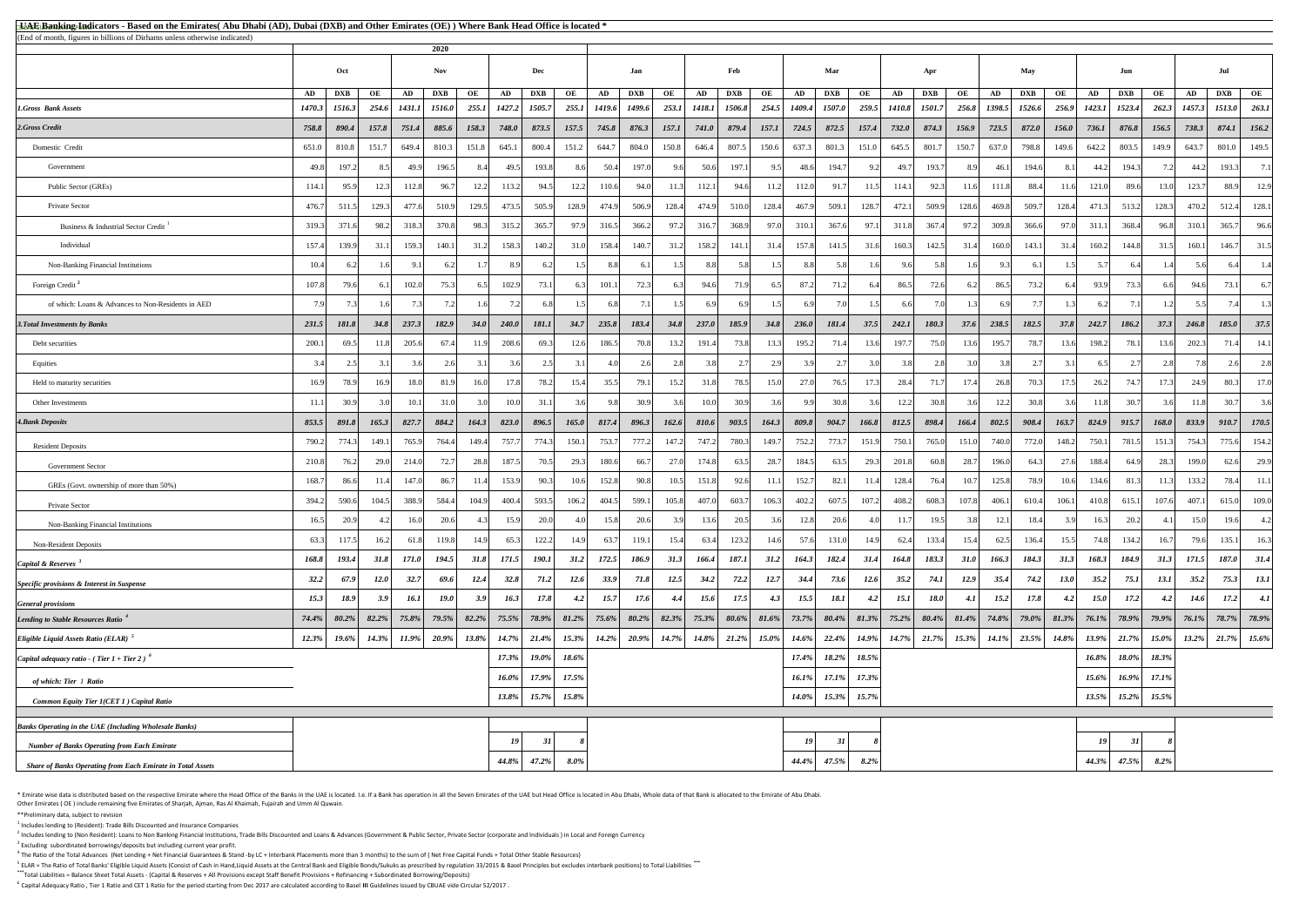<sup>5</sup> ELAR = The Ratio of Total Banks' Eligible Liquid Assets (Consist of Cash in Hand,Liquid Assets at the Central Bank and Eligible Bonds/Sukuks as prescribed by regulation 33/2015 & Basel Principles but excludes interbank **\*\*\***Total Liabilities = Balance Sheet Total Assets - (Capital & Reserves + All Provisions except Staff Benefit Provisions + Refinancing + Subordinated Borrowing/Deposits)

<sup>6</sup> Capital Adequacy Ratio , Tier 1 Ratio and CET 1 Ratio for the period starting from Dec 2017 are calculated according to Basel III Guidelines issued by CBUAE vide Circular 52/2017 .

| × |  |
|---|--|
|   |  |

\* Emirate wise data is distributed based on the respective Emirate where the Head Office of the Banks in the UAE is located. I.e. If a Bank has operation in all the Seven Emirates of the UAE but Head Office is located in A Other Emirates ( OE ) include remaining five Emirates of Sharjah, Ajman, Ras Al Khaimah, Fujairah and Umm Al Quwain.

| <b>All E Banking Indicators - Based on the Emirates</b> (Abu Dhabi (AD), Dubai (DXB) and Other Emirates (OE)) Where Bank Head Office is located * |          |             |             |          |             |       |          |              |          |               |               |       |               |            |          |                         |            |             |               |            |          |          |                  |       |        |            |             |        |                                                                      |       |
|---------------------------------------------------------------------------------------------------------------------------------------------------|----------|-------------|-------------|----------|-------------|-------|----------|--------------|----------|---------------|---------------|-------|---------------|------------|----------|-------------------------|------------|-------------|---------------|------------|----------|----------|------------------|-------|--------|------------|-------------|--------|----------------------------------------------------------------------|-------|
| (End of month, figures in billions of Dirhams unless otherwise indicated)                                                                         |          |             |             |          | 2020        |       |          |              |          |               |               |       |               |            |          |                         |            |             |               |            |          |          |                  |       |        |            |             |        |                                                                      |       |
|                                                                                                                                                   |          | Oct         |             |          | <b>Nov</b>  |       |          | Dec          |          |               | Jan           |       |               | Feb        |          |                         | Mar        |             |               | Apr        |          |          | May              |       |        | Jun        |             |        | Jul                                                                  |       |
|                                                                                                                                                   | AD       | <b>DXB</b>  | OE          | AD       | <b>DXB</b>  | OE    | AD       | <b>DXB</b>   | OE       | AD            | <b>DXB</b>    | OE    | AD            | <b>DXB</b> | OE       | AD                      | <b>DXB</b> | OE          | AD            | <b>DXB</b> | OE       | AD       | <b>DXB</b>       | OE    | AD     | <b>DXB</b> | OE          | AD     | <b>DXB</b>                                                           | OE    |
| <b>1.Gross Bank Assets</b>                                                                                                                        | 1470.3   | 1516.3      | 254.6       | 1431.1   | 1516.0      | 255.1 | 1427.2   | 1505.7       | 255.1    | <b>1419.6</b> | <b>1499.6</b> | 253.1 | <b>1418.1</b> | 1506.8     |          | 254.5   1409.4   1507.0 |            | 259.5       | <i>1410.8</i> | 1501.7     | 256.8    | 1398.5   | 1526.6           | 256.9 | 1423.1 | 1523.4     | 262.3       | 1457.3 | 1513.0                                                               | 263.1 |
| 2.Gross Credit                                                                                                                                    | 758.8    | 890.4       | 157.8       | 751.4    | 885.6       | 158.3 | 748.0    | 873.5        | 157.5    | 745.8         | 876.3         | 157.1 | 741.0         | 879.4      | 157.1    | 724.5                   | 872.5      | 157.4       | 732.0         | 874.3      | 156.9    | 723.5    | 872.0            | 156.0 | 736.1  | 876.8      | 156.5       | 738.3  | 874.1                                                                | 156.2 |
| Domestic Credit                                                                                                                                   | 651.0    | 810.8       | 151.7       | 649.4    | 810.3       | 151.8 | 645.1    | 800.4        | 151.2    | 644.7         | 804.0         | 150.8 | 646.4         | 807.5      | 150.6    | 637.3                   | 801.3      | 151.0       | 645.5         | 801.7      | 150.7    | 637.0    | 798.8            | 149.6 | 642.2  | 803.5      | 149.9       | 643.7  | 801.0                                                                | 149.5 |
| Government                                                                                                                                        | 49.8     | 197.2       |             | 49.9     | 196.5       |       | 49.5     | 193.8        |          | 50.4          | 197.0         |       | 50.6          | 197.1      | 9.5      | 48.6                    | 194.7      | $\Omega$    |               | 193.7      |          | 46.7     | 194.6            |       |        | 194.3      |             | 44.2   | 193.3                                                                | 7.1   |
| Public Sector (GREs)                                                                                                                              | 114.1    | 95.9        | 12.3        | 112.8    | 96.7        | 12.2  | 113.2    | 94.5         | 12.2     | 110.6         | 94.0          |       | 112.1         | 94.6       | 11.2     | 112.0                   | 91.7       | 11.5        | 114.1         | 92.3       | 11.6     | 111.8    | 88.4             | 11.6  | 121.0  | 89.6       | 13.0        | 123.7  | 88.9                                                                 | 12.9  |
| Private Sector                                                                                                                                    | 476.7    | 511.5       | 129.        | 477.6    | 510.9       | 129.5 | 473.5    | 505.9        | 128.9    | 474.9         | 506.9         | 128.4 | 474.9         | 510.0      | 128.4    | 467.9                   | 509.1      | 128.7       | 472.1         | 509.9      | 128.6    | 469.8    | 509.7            | 128.4 | 471.3  | 513.2      | 128.3       | 470.2  | 512.4                                                                | 128.1 |
| Business & Industrial Sector Credit                                                                                                               | 319.3    | 371.6       | 98.2        | 318.3    | 370.8       | 98.3  | 315.2    | 365.7        | 97.9     | 316.5         | 366.2         | 97.2  | 316.7         | 368.9      | 97.0     | 310.1                   | 367.6      | 97.1        | 311.8         | 367.4      | 97.2     | 309.8    | 366.6            | 97.0  | 311.1  | 368.4      | 96.8        | 310.1  | 365.7                                                                | 96.6  |
| Individual                                                                                                                                        | 157.4    | 139.9       | 31.         | 159.3    | 140.1       | 31.2  | 158.3    | 140.2        | 31.0     | 158.4         | 140.7         | 31.2  | 158.2         | 141.1      | 31.4     | 157.8                   | 141.5      | 31.6        | 160.3         | 142.5      |          | 160.0    | 143.1            | 31.4  | 160.2  | 144.8      | 31.5        | 160.1  | 146.7                                                                | 31.5  |
| Non-Banking Financial Institutions                                                                                                                | 10.4     |             |             | -9.      | - 6.2       |       | 8.9I     | 6.2          |          | 8.8           | 6.1           |       | 8.8           | 5.8        | 1.5      | 8.8                     | 5.8        | 1.6         | Qf            | 5.8        |          | 9.31     | 6.1 <sup> </sup> | 1.5   |        |            |             |        | 6.4                                                                  | 1.4   |
| Foreign Credit <sup>2</sup>                                                                                                                       | 107.8    | 79.6        |             | 102.0    | 75.3        |       | 102.9    | 73.1         |          | 101.1         | 72.3          |       | 94.6          | 71.9       | 6.5      | 87.2                    | 71.2       |             | 86.5          | 72.6       |          | 86.5     | 73.2             |       | 93.9   | 73.3       |             | 94.6   | 73.1                                                                 | 6.7   |
| of which: Loans & Advances to Non-Residents in AED                                                                                                |          |             |             |          |             |       |          |              |          | 6.8           |               |       |               | 6.9        | 1.51     |                         |            |             |               |            |          |          |                  |       |        |            |             |        |                                                                      |       |
| <b>3. Total Investments by Banks</b>                                                                                                              | 231.5    | 181.8       | 34.8        | 237.3    | 182.9       | 34.0  | 240.0    | 181.1        | 34.7     | 235.8         | 183.4         | 34.8  | 237.0         | 185.9      | 34.8     | 236.0                   | 181.4      | 37.5        | 242.1         | 180.3      | 37.6     | 238.5    | 182.5            | 37.8  | 242.7  | 186.2      | 37.3        | 246.8  | 185.0                                                                | 37.5  |
| Debt securities                                                                                                                                   | 200.1    | 69.5        |             | 205.6    | 67.4        | 11.9  | 208.6    | 69.3         | 12.6     | 186.5         | 70.8          | 13.2  | 191.4         | 73.8       | 13.3     | 195.2                   | 71.4       | 13.6        | 197.7         | 75.0       | 13.6     | 195.7    | 78.7             | 13.6  | 198.2  | 78.1       | 13.6        | 202.3  | 71.4                                                                 | 14.1  |
| Equities                                                                                                                                          |          |             |             | 3.6I     |             |       |          |              |          |               | 2.6           |       | 3.8           |            |          |                         |            | 3 Q         |               | 2.8        |          | 3.81     |                  |       |        |            |             |        | 2.6                                                                  | 2.8   |
| Held to maturity securities                                                                                                                       | 16.9     | 78.9        | 16.9        | 18.0     | 81.         | 16.0  | 17.8     | 78.2         | 15.4     | 35.5          | 79.1          | 15.2  | 31.8          | 78.5       | 15.0     | 27.0                    | 76.5       | 17.3        | 28.4          | 71.7       | 17.4     | 26.8     | 70.3             | 17.5  | 26.2   | 74.7       | 17.3        | 24.9   | 80.3                                                                 | 17.0  |
| Other Investments                                                                                                                                 | 11.1     | 30.9        |             | 10.      | 31.         |       | 10.0     | 31.1         |          | 9.8           | 30.9          |       | 10.0          | 30.9       | 3.6      | 9.9                     | 30.8       | 3.6         |               | 30.8       |          | 12.2     | 30.8             | 3.6   | 11.8   | 30.7       |             | 11.8   | 30.7                                                                 | 3.6   |
| <b>4. Bank Deposits</b>                                                                                                                           | 853.5    | 891.8       | 165.3       | 827.7    | 884.2       | 164.3 | 823.0    | 896.5        | 165.0    | 817.4         | 896.3         | 162.6 | 810.6         | 903.5      | 164.3    | 809.8                   | 904.7      | 166.8       | 812.5         | 898.4      | 166.4    | 802.5    | 908.4            | 163.7 | 824.9  | 915.7      | 168.0       | 833.9  | 910.7                                                                | 170.5 |
| <b>Resident Deposits</b>                                                                                                                          | 790.2    | 774.3       | 149.        | 765.9    | 764.4       | 149.4 | 757.7    | 774.3        | 150.1    | 753.7         | 777.2         | 147.2 | 747.2         | 780.3      | 149.7    | 752.2                   | 773.7      | 151.9       | 750.1         | 765.0      | 151.0    | 740.0    | 772.0            | 148.2 | 750.1  | 781.5      | 151.3       | 754.3  | 775.6                                                                | 154.2 |
| <b>Government Sector</b>                                                                                                                          | 210.8    | 76.2        | 29.0        | 214.0    | 72.7        | 28.8  | 187.5    | 70.5         | 29.3     | 180.6         | 66.7          | 27.0  | 174.8         | 63.5       | 28.7     | 184.5                   | 63.5       | 29.3        | 201.8         | 60.8       | 28.      | 196.0    | 64.3             | 27.6  | 188.4  | 64.9       | 28.3        | 199.0  | 62.6                                                                 | 29.9  |
| GREs (Govt. ownership of more than 50%)                                                                                                           | 168.7    | 86.6        |             | 147.0    | 86.         | 11.4  | 153.9    | 90.3         | 10.6     | 152.8         | 90.8          | 10.5  | 151.8         | 92.6       | 11.1     | 152.7                   | 82.1       | 11.4        | 128.4         | 76.4       |          | 125.8    | 78.9             | 10.6  | 134.6  | 81.3       | 11.3        | 133.2  | 78.4                                                                 | 11.1  |
| Private Sector                                                                                                                                    | 394.2    | 590.6       | 104.5       | 388.9    | 584.4       | 104.9 | 400.4    | 593.5        | 106.2    | 404.5         | 599.1         | 105.8 | 407.0         | 603.7      | 106.3    | 402.2                   | 607.5      | 107.2       | 408.2         | 608.3      | 107.8    | 406.     | 610.4            | 106.1 | 410.8  | 615.1      | 107.6       | 407.1  | 615.0                                                                | 109.0 |
| Non-Banking Financial Institutions                                                                                                                | 16.5     | 20.9        |             | 16.0     | 20.6        |       | 15.9     | 20.0         |          | 15.8          | 20.6          | 3.9   | 13.6          | 20.5       | 3.6      | 12.8                    | 20.6       | 4.0         |               | 19.5       |          | 12.1     | 18.4             |       | 16.3   | 20.2       |             | 15.0   | 19.6                                                                 | 4.2   |
| <b>Non-Resident Deposits</b>                                                                                                                      | 63.3     | 117.5       | 16.2        | 61.8     | 119.8       | 14.9  | 65.3     | 122.2        | 14.9     | 63.7          | 119.1         | 15.4  | 63.4          | 123.2      | 14.6     | 57.6                    | 131.0      | 14.9        | 62.4          | 133.4      | 15.4     | 62.5     | 136.4            | 15.5  | 74.8   | 134.2      | 16.7        | 79.6   | 135.1                                                                | 16.3  |
| Capital & Reserves <sup>3</sup>                                                                                                                   | 168.8    | 193.4       | 31.8        | 171.0    | 194.5       | 31.8  | 171.5    | <b>190.1</b> | 31.2     | 172.5         | <b>186.9</b>  | 31.3  | 166.4         | 187.1      | 31.2     | 164.3                   | 182.4      | 31.4        | 164.8         | 183.3      | 31.0     | 166.3    | 184.3            | 31.3  | 168.3  | 184.9      | 31.3        | 171.5  | 187.0                                                                | 31.4  |
| Specific provisions & Interest in Suspense                                                                                                        | 32.2     | 67.9        | <b>12.0</b> | 32.7     | 69.6        | 12.4  | 32.8     | 71.2         | 12.6     | 33.9          | 71.8          | 12.5  | 34.2          | 72.2       | 12.7     | 34.4                    | 73.6       | <b>12.6</b> | 35.2          | 74.1       | 12.9     | 35.4     | 74.2             | 13.0  | 35.2   | 75.1       | <b>13.1</b> | 35.2   | 75.3                                                                 | 13.1  |
| <b>General provisions</b>                                                                                                                         | 15.3     | <b>18.9</b> | <b>3.9</b>  | 16.1     | <b>19.0</b> | 3.9   | 16.3     | 17.8         | 4.2      | 15.7          | 17.6          | 4.4   | 15.6          | 17.5       | 4.3      | 15.5                    | 18.1       | 4.2         | 15.1          | 18.0       | 4.1      | 15.2     | 17.8             | 4.2   | 15.0   | 17.2       | 4.2         | 14.6   | 17.2                                                                 | 4.1   |
| Lending to Stable Resources Ratio <sup>4</sup>                                                                                                    | $74.4\%$ |             |             |          |             |       |          |              |          |               |               |       |               |            |          |                         |            |             |               |            |          |          |                  |       |        |            |             |        | $80.4\%$ 81.4% 74.8% 79.0% 81.3% 76.1% 78.9% 79.9% 76.1% 78.7% 78.9% |       |
| Eligible Liquid Assets Ratio (ELAR) <sup>2</sup>                                                                                                  | 12.3%    | $19.6\%$    | 14.3%       | $11.9\%$ | 20.9%       | 13.8% | 14.7%    | 21.4%        | $15.3\%$ | 14.2%         | $20.9\%$      | 14.7% | 14.8%         | $21.2\%$   | $15.0\%$ | <b>14.6%</b>            | 22.4%      | $14.9\%$    | 14.7%         | 21.7%      | $15.3\%$ | $14.1\%$ | 23.5%            | 14.8% | 13.9%  | 21.7%      | 15.0%       | 13.2%  | 21.7% 15.6%                                                          |       |
| Capital adequacy ratio - (Tier $1 +$ Tier 2) <sup>6</sup>                                                                                         |          |             |             |          |             |       | 17.3%    | 19.0%        | 18.6%    |               |               |       |               |            |          | 17.4%                   | 18.2%      | 18.5%       |               |            |          |          |                  |       | 16.8%  | 18.0%      | 18.3%       |        |                                                                      |       |
| of which: Tier 1 Ratio                                                                                                                            |          |             |             |          |             |       | $16.0\%$ | 17.9%        | 17.5%    |               |               |       |               |            |          | 16.1%                   | $17.1\%$   | 17.3%       |               |            |          |          |                  |       | 15.6%  | 16.9%      | 17.1%       |        |                                                                      |       |
| <b>Common Equity Tier 1(CET 1) Capital Ratio</b>                                                                                                  |          |             |             |          |             |       | 13.8%    | $15.7\%$     | 15.8%    |               |               |       |               |            |          | <b>14.0%</b>            | $15.3\%$   | $15.7\%$    |               |            |          |          |                  |       | 13.5%  | $15.2\%$   | 15.5%       |        |                                                                      |       |
| <b>Banks Operating in the UAE (Including Wholesale Banks)</b>                                                                                     |          |             |             |          |             |       |          |              |          |               |               |       |               |            |          |                         |            |             |               |            |          |          |                  |       |        |            |             |        |                                                                      |       |
| <b>Number of Banks Operating from Each Emirate</b>                                                                                                |          |             |             |          |             |       | 19       | 31           |          |               |               |       |               |            |          | 19 <sup>°</sup>         | 31         |             |               |            |          |          |                  |       | 19     | 31         |             |        |                                                                      |       |
| <b>Share of Banks Operating from Each Emirate in Total Assets</b>                                                                                 |          |             |             |          |             |       | 44.8%    | 47.2%        | $8.0\%$  |               |               |       |               |            |          | 44.4%                   | 47.5%      | $8.2\%$     |               |            |          |          |                  |       | 44.3%  | 47.5%      | $8.2\%$     |        |                                                                      |       |
|                                                                                                                                                   |          |             |             |          |             |       |          |              |          |               |               |       |               |            |          |                         |            |             |               |            |          |          |                  |       |        |            |             |        |                                                                      |       |

\*\*Preliminary data, subject to revision

 $<sup>1</sup>$  Includes lending to (Resident): Trade Bills Discounted and Insurance Companies</sup>

 $^2$  Includes lending to (Non Resident): Loans to Non Banking Financial Institutions, Trade Bills Discounted and Loans & Advances (Government & Public Sector, Private Sector (corporate and Individuals) in Local and Foreig  $3$  Excluding subordinated borrowings/deposits but including current year profit.

 $^4$  The Ratio of the Total Advances (Net Lending + Net Financial Guarantees & Stand -by LC + Interbank Placements more than 3 months) to the sum of (Net Free Capital Funds + Total Other Stable Resources)